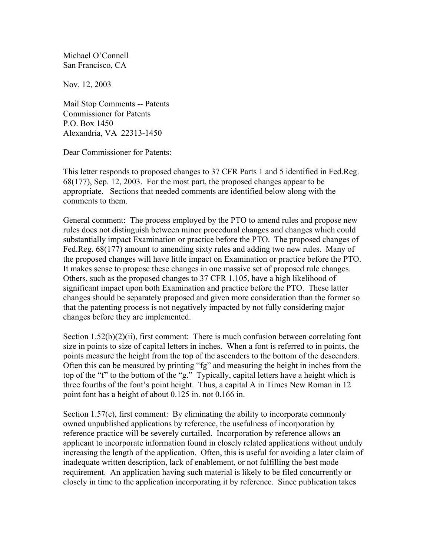Michael O'Connell San Francisco, CA

Nov. 12, 2003

Mail Stop Comments -- Patents Commissioner for Patents P.O. Box 1450 Alexandria, VA 22313-1450

Dear Commissioner for Patents:

This letter responds to proposed changes to 37 CFR Parts 1 and 5 identified in Fed.Reg. 68(177), Sep. 12, 2003. For the most part, the proposed changes appear to be appropriate. Sections that needed comments are identified below along with the comments to them.

General comment: The process employed by the PTO to amend rules and propose new rules does not distinguish between minor procedural changes and changes which could substantially impact Examination or practice before the PTO. The proposed changes of Fed.Reg. 68(177) amount to amending sixty rules and adding two new rules. Many of the proposed changes will have little impact on Examination or practice before the PTO. It makes sense to propose these changes in one massive set of proposed rule changes. Others, such as the proposed changes to 37 CFR 1.105, have a high likelihood of significant impact upon both Examination and practice before the PTO. These latter changes should be separately proposed and given more consideration than the former so that the patenting process is not negatively impacted by not fully considering major changes before they are implemented.

Section  $1.52(b)(2)(ii)$ , first comment: There is much confusion between correlating font size in points to size of capital letters in inches. When a font is referred to in points, the points measure the height from the top of the ascenders to the bottom of the descenders. Often this can be measured by printing "fg" and measuring the height in inches from the top of the "f" to the bottom of the "g." Typically, capital letters have a height which is three fourths of the font's point height. Thus, a capital A in Times New Roman in 12 point font has a height of about 0.125 in. not 0.166 in.

Section 1.57(c), first comment: By eliminating the ability to incorporate commonly owned unpublished applications by reference, the usefulness of incorporation by reference practice will be severely curtailed. Incorporation by reference allows an applicant to incorporate information found in closely related applications without unduly increasing the length of the application. Often, this is useful for avoiding a later claim of inadequate written description, lack of enablement, or not fulfilling the best mode requirement. An application having such material is likely to be filed concurrently or closely in time to the application incorporating it by reference. Since publication takes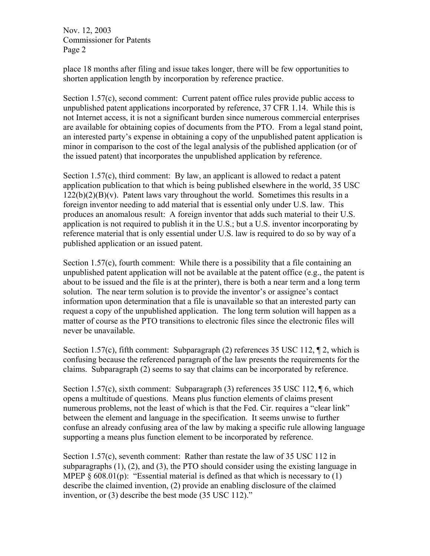Nov. 12, 2003 Commissioner for Patents Page 2

place 18 months after filing and issue takes longer, there will be few opportunities to shorten application length by incorporation by reference practice.

Section 1.57(c), second comment: Current patent office rules provide public access to unpublished patent applications incorporated by reference, 37 CFR 1.14. While this is not Internet access, it is not a significant burden since numerous commercial enterprises are available for obtaining copies of documents from the PTO. From a legal stand point, an interested party's expense in obtaining a copy of the unpublished patent application is minor in comparison to the cost of the legal analysis of the published application (or of the issued patent) that incorporates the unpublished application by reference.

Section 1.57(c), third comment: By law, an applicant is allowed to redact a patent application publication to that which is being published elsewhere in the world, 35 USC  $122(b)(2)(B)(v)$ . Patent laws vary throughout the world. Sometimes this results in a foreign inventor needing to add material that is essential only under U.S. law. This produces an anomalous result: A foreign inventor that adds such material to their U.S. application is not required to publish it in the U.S.; but a U.S. inventor incorporating by reference material that is only essential under U.S. law is required to do so by way of a published application or an issued patent.

Section 1.57(c), fourth comment: While there is a possibility that a file containing an unpublished patent application will not be available at the patent office  $(e.g., the patent is$ about to be issued and the file is at the printer), there is both a near term and a long term solution. The near term solution is to provide the inventor's or assignee's contact information upon determination that a file is unavailable so that an interested party can request a copy of the unpublished application. The long term solution will happen as a matter of course as the PTO transitions to electronic files since the electronic files will never be unavailable.

Section 1.57(c), fifth comment: Subparagraph (2) references 35 USC 112, 12, which is confusing because the referenced paragraph of the law presents the requirements for the claims. Subparagraph (2) seems to say that claims can be incorporated by reference.

Section 1.57(c), sixth comment: Subparagraph (3) references 35 USC 112, 16, which opens a multitude of questions. Means plus function elements of claims present numerous problems, not the least of which is that the Fed. Cir. requires a "clear link" between the element and language in the specification. It seems unwise to further confuse an already confusing area of the law by making a specific rule allowing language supporting a means plus function element to be incorporated by reference.

Section 1.57(c), seventh comment: Rather than restate the law of 35 USC 112 in subparagraphs (1), (2), and (3), the PTO should consider using the existing language in MPEP  $\& 608.01(p)$ : "Essential material is defined as that which is necessary to (1) describe the claimed invention, (2) provide an enabling disclosure of the claimed invention, or (3) describe the best mode (35 USC 112)."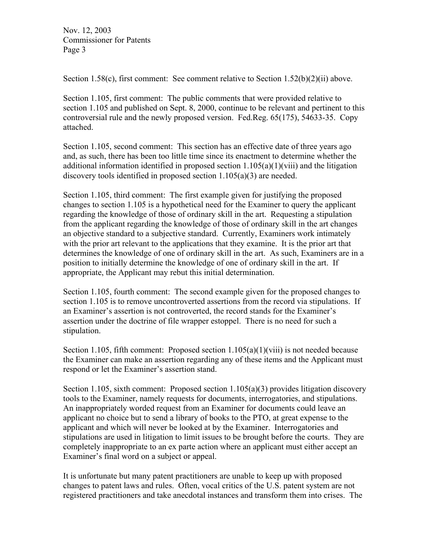Nov. 12, 2003 Commissioner for Patents Page 3

Section 1.58(c), first comment: See comment relative to Section 1.52(b)(2)(ii) above.

Section 1.105, first comment: The public comments that were provided relative to section 1.105 and published on Sept. 8, 2000, continue to be relevant and pertinent to this controversial rule and the newly proposed version. Fed.Reg. 65(175), 54633-35. Copy attached.

Section 1.105, second comment: This section has an effective date of three years ago and, as such, there has been too little time since its enactment to determine whether the additional information identified in proposed section  $1.105(a)(1)(viii)$  and the litigation discovery tools identified in proposed section 1.105(a)(3) are needed.

Section 1.105, third comment: The first example given for justifying the proposed changes to section 1.105 is a hypothetical need for the Examiner to query the applicant regarding the knowledge of those of ordinary skill in the art. Requesting a stipulation from the applicant regarding the knowledge of those of ordinary skill in the art changes an objective standard to a subjective standard. Currently, Examiners work intimately with the prior art relevant to the applications that they examine. It is the prior art that determines the knowledge of one of ordinary skill in the art. As such, Examiners are in a position to initially determine the knowledge of one of ordinary skill in the art. If appropriate, the Applicant may rebut this initial determination.

Section 1.105, fourth comment: The second example given for the proposed changes to section 1.105 is to remove uncontroverted assertions from the record via stipulations. If an Examiner's assertion is not controverted, the record stands for the Examiner's assertion under the doctrine of file wrapper estoppel. There is no need for such a stipulation.

Section 1.105, fifth comment: Proposed section  $1.105(a)(1)(viii)$  is not needed because the Examiner can make an assertion regarding any of these items and the Applicant must respond or let the Examiner's assertion stand.

Section 1.105, sixth comment: Proposed section 1.105(a)(3) provides litigation discovery tools to the Examiner, namely requests for documents, interrogatories, and stipulations. An inappropriately worded request from an Examiner for documents could leave an applicant no choice but to send a library of books to the PTO, at great expense to the applicant and which will never be looked at by the Examiner. Interrogatories and stipulations are used in litigation to limit issues to be brought before the courts. They are completely inappropriate to an ex parte action where an applicant must either accept an Examiner's final word on a subject or appeal.

It is unfortunate but many patent practitioners are unable to keep up with proposed changes to patent laws and rules. Often, vocal critics of the U.S. patent system are not registered practitioners and take anecdotal instances and transform them into crises. The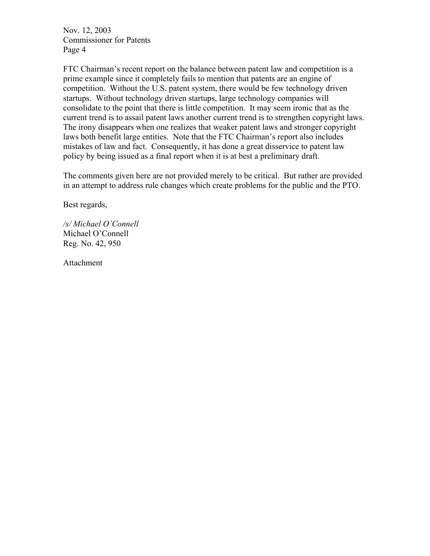Nov. 12, 2003 Commissioner for Patents Page 4

FTC Chairman's recent report on the balance between patent law and competition is a prime example since it completely fails to mention that patents are an engine of competition. Without the U.S. patent system, there would be few technology driven startups. Without technology driven startups, large technology companies will consolidate to the point that there is little competition. It may seem ironic that as the current trend is to assail patent laws another current trend is to strengthen copyright laws. The irony disappears when one realizes that weaker patent laws and stronger copyright laws both benefit large entities. Note that the FTC Chairman's report also includes mistakes of law and fact. Consequently, it has done a great disservice to patent law policy by being issued as a final report when it is at best a preliminary draft.

The comments given here are not provided merely to be critical. But rather are provided in an attempt to address rule changes which create problems for the public and the PTO.

Best regards,

*/s/ Michael O'Connell*  Michael O'Connell Reg. No. 42, 950

Attachment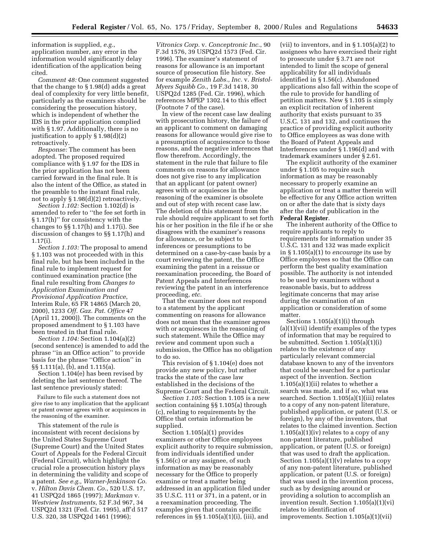information is supplied, *e.g.*, application number, any error in the information would significantly delay identification of the application being cited.

*Comment 48:* One comment suggested that the change to § 1.98(d) adds a great deal of complexity for very little benefit, particularly as the examiners should be considering the prosecution history, which is independent of whether the IDS in the prior application complied with § 1.97. Additionally, there is no justification to apply § 1.98(d)(2) retroactively.

*Response:* The comment has been adopted. The proposed required compliance with § 1.97 for the IDS in the prior application has not been carried forward in the final rule. It is also the intent of the Office, as stated in the preamble to the instant final rule, not to apply § 1.98(d)(2) retroactively.

*Section 1.102:* Section 1.102(d) is amended to refer to ''the fee set forth in § 1.17(h)'' for consistency with the changes to §§ 1.17(h) and 1.17(i). See discussion of changes to §§ 1.17(h) and 1.17(i).

*Section 1.103:* The proposal to amend § 1.103 was not proceeded with in this final rule, but has been included in the final rule to implement request for continued examination practice (the final rule resulting from *Changes to Application Examination and Provisional Application Practice*, Interim Rule, 65 FR 14865 (March 20, 2000), 1233 *Off. Gaz. Pat. Office* 47 (April 11, 2000)). The comments on the proposed amendment to § 1.103 have been treated in that final rule.

*Section 1.104:* Section 1.104(a)(2) (second sentence) is amended to add the phrase ''in an Office action'' to provide basis for the phrase ''Office action'' in §§ 1.111(a), (b), and 1.115(a).

Section 1.104(e) has been revised by deleting the last sentence thereof. The last sentence previously stated:

Failure to file such a statement does not give rise to any implication that the applicant or patent owner agrees with or acquiesces in the reasoning of the examiner.

This statement of the rule is inconsistent with recent decisions by the United States Supreme Court (Supreme Court) and the United States Court of Appeals for the Federal Circuit (Federal Circuit), which highlight the crucial role a prosecution history plays in determining the validity and scope of a patent. *See e.g., Warner-Jenkinson Co.*  v. *Hilton Davis Chem. Co.*, 520 U.S. 17, 41 USPQ2d 1865 (1997); *Markman* v. *Westview Instruments*, 52 F.3d 967, 34 USPQ2d 1321 (Fed. Cir. 1995), aff'd 517 U.S. 320, 38 USPQ2d 1461 (1996);

*Vitronics Corp.* v. *Conceptronic Inc.*, 90 F.3d 1576, 39 USPQ2d 1573 (Fed. Cir. 1996). The examiner's statement of reasons for allowance is an important source of prosecution file history. See for example *Zenith Labs., Inc.* v. *Bristol-Myers Squibb Co.*, 19 F.3d 1418, 30 USPQ2d 1285 (Fed. Cir. 1996), which references MPEP 1302.14 to this effect (Footnote 7 of the case).

In view of the recent case law dealing with prosecution history, the failure of an applicant to comment on damaging reasons for allowance would give rise to a presumption of acquiescence to those reasons, and the negative inferences that flow therefrom. Accordingly, the statement in the rule that failure to file comments on reasons for allowance does not give rise to any implication that an applicant (or patent owner) agrees with or acquiesces in the reasoning of the examiner is obsolete and out of step with recent case law. The deletion of this statement from the rule should require applicant to set forth his or her position in the file if he or she disagrees with the examiner's reasons for allowance, or be subject to inferences or presumptions to be determined on a case-by-case basis by a court reviewing the patent, the Office examining the patent in a reissue or reexamination proceeding, the Board of Patent Appeals and Interferences reviewing the patent in an interference proceeding, *etc.* 

That the examiner does not respond to a statement by the applicant commenting on reasons for allowance does not mean that the examiner agrees with or acquiesces in the reasoning of such statement. While the Office may review and comment upon such a submission, the Office has no obligation to do so.

This revision of § 1.104(e) does not provide any new policy, but rather tracks the state of the case law established in the decisions of the Supreme Court and the Federal Circuit.

*Section 1.105:* Section 1.105 is a new section containing §§ 1.105(a) through (c), relating to requirements by the Office that certain information be supplied.

Section 1.105(a)(1) provides examiners or other Office employees explicit authority to require submission, from individuals identified under § 1.56(c) or any assignee, of such information as may be reasonably necessary for the Office to properly examine or treat a matter being addressed in an application filed under 35 U.S.C. 111 or 371, in a patent, or in a reexamination proceeding. The examples given that contain specific references in  $\S$  1.105(a)(1)(i), (iii), and

(vii) to inventors, and in § 1.105(a)(2) to assignees who have exercised their right to prosecute under § 3.71 are not intended to limit the scope of general applicability for all individuals identified in § 1.56(c). Abandoned applications also fall within the scope of the rule to provide for handling of petition matters. New § 1.105 is simply an explicit recitation of inherent authority that exists pursuant to 35 U.S.C. 131 and 132, and continues the practice of providing explicit authority to Office employees as was done with the Board of Patent Appeals and Interferences under § 1.196(d) and with trademark examiners under § 2.61.

The explicit authority of the examiner under § 1.105 to require such information as may be reasonably necessary to properly examine an application or treat a matter therein will be effective for any Office action written on or after the date that is sixty days after the date of publication in the **Federal Register**.

The inherent authority of the Office to require applicants to reply to requirements for information under 35 U.S.C. 131 and 132 was made explicit in § 1.105(a)(1) to *encourage* its use by Office employees so that the Office can perform the best quality examination possible. The authority is not intended to be used by examiners without a reasonable basis, but to address legitimate concerns that may arise during the examination of an application or consideration of some matter.

Sections 1.105(a)(1)(i) through (a)(1)(vii) identify examples of the types of information that may be required to be submitted. Section 1.105(a)(1)(i) relates to the existence of any particularly relevant commercial database known to any of the inventors that could be searched for a particular aspect of the invention. Section  $1.105(a)(1)(ii)$  relates to whether a search was made, and if so, what was searched. Section 1.105(a)(1)(iii) relates to a copy of any non-patent literature, published application, or patent (U.S. or foreign), by any of the inventors, that relates to the claimed invention. Section 1.105(a)(1)(iv) relates to a copy of any non-patent literature, published application, or patent (U.S. or foreign) that was used to draft the application. Section 1.105(a)(1)(v) relates to a copy of any non-patent literature, published application, or patent (U.S. or foreign) that was used in the invention process, such as by designing around or providing a solution to accomplish an invention result. Section 1.105(a)(1)(vi) relates to identification of improvements. Section 1.105(a)(1)(vii)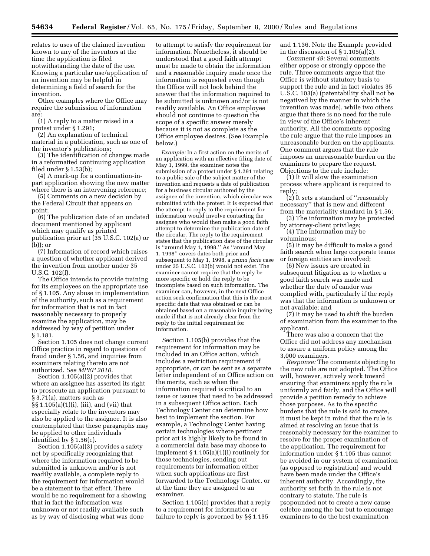relates to uses of the claimed invention known to any of the inventors at the time the application is filed notwithstanding the date of the use. Knowing a particular use/application of an invention may be helpful in determining a field of search for the invention.

Other examples where the Office may require the submission of information are:

(1) A reply to a matter raised in a protest under § 1.291;

(2) An explanation of technical material in a publication, such as one of the inventor's publications;

(3) The identification of changes made in a reformatted continuing application filed under § 1.53(b);

(4) A mark-up for a continuation-inpart application showing the new matter where there is an intervening reference;

(5) Comments on a new decision by the Federal Circuit that appears on point;

(6) The publication date of an undated document mentioned by applicant which may qualify as printed publication prior art (35 U.S.C. 102(a) or (b)); or

(7) Information of record which raises a question of whether applicant derived the invention from another under 35 U.S.C. 102(f).

The Office intends to provide training for its employees on the appropriate use of § 1.105. Any abuse in implementation of the authority, such as a requirement for information that is not in fact reasonably necessary to properly examine the application, may be addressed by way of petition under § 1.181.

Section 1.105 does not change current Office practice in regard to questions of fraud under § 1.56, and inquiries from examiners relating thereto are not authorized. *See MPEP 2010.* 

Section 1.105(a)(2) provides that where an assignee has asserted its right to prosecute an application pursuant to § 3.71(a), matters such as §§ 1.105(a)(1)(i), (iii), and (vii) that especially relate to the inventors may also be applied to the assignee. It is also contemplated that these paragraphs may be applied to other individuals identified by § 1.56(c).

Section 1.105(a)(3) provides a safety net by specifically recognizing that where the information required to be submitted is unknown and/or is not readily available, a complete reply to the requirement for information would be a statement to that effect. There would be no requirement for a showing that in fact the information was unknown or not readily available such as by way of disclosing what was done

to attempt to satisfy the requirement for information. Nonetheless, it should be understood that a good faith attempt must be made to obtain the information and a reasonable inquiry made once the information is requested even though the Office will not look behind the answer that the information required to be submitted is unknown and/or is not readily available. An Office employee should not continue to question the scope of a specific answer merely because it is not as complete as the Office employee desires. (See Example below.)

*Example:* In a first action on the merits of an application with an effective filing date of May 1, 1999, the examiner notes the submission of a protest under § 1.291 relating to a public sale of the subject matter of the invention and requests a date of publication for a business circular authored by the assignee of the invention, which circular was submitted with the protest. It is expected that the attempt to reply to the requirement for information would involve contacting the assignee who would then make a good faith attempt to determine the publication date of the circular. The reply to the requirement states that the publication date of the circular is ''around May 1, 1998.'' As ''around May 1, 1998'' covers dates both prior and subsequent to May 1, 1998, a *prima facie* case under 35 U.S.C. 102(b) would not exist. The examiner cannot require that the reply be more specific or hold the reply to be incomplete based on such information. The examiner can, however, in the next Office action seek confirmation that this is the most specific date that was obtained or can be obtained based on a reasonable inquiry being made if that is not already clear from the reply to the initial requirement for information.

Section 1.105(b) provides that the requirement for information may be included in an Office action, which includes a restriction requirement if appropriate, or can be sent as a separate letter independent of an Office action on the merits, such as when the information required is critical to an issue or issues that need to be addressed in a subsequent Office action. Each Technology Center can determine how best to implement the section. For example, a Technology Center having certain technologies where pertinent prior art is highly likely to be found in a commercial data base may choose to implement § 1.105(a)(1)(i) routinely for those technologies, sending out requirements for information either when such applications are first forwarded to the Technology Center, or at the time they are assigned to an examiner.

Section 1.105(c) provides that a reply to a requirement for information or failure to reply is governed by §§ 1.135

and 1.136. Note the Example provided in the discussion of § 1.105(a)(2).

*Comment 49:* Several comments either oppose or strongly oppose the rule. Three comments argue that the Office is without statutory basis to support the rule and in fact violates 35 U.S.C. 103(a) (patentability shall not be negatived by the manner in which the invention was made), while two others argue that there is no need for the rule in view of the Office's inherent authority. All the comments opposing the rule argue that the rule imposes an unreasonable burden on the applicants. One comment argues that the rule imposes an unreasonable burden on the examiners to prepare the request. Objections to the rule include:

(1) It will slow the examination process where applicant is required to reply;

(2) It sets a standard of ''reasonably necessary'' that is new and different from the materiality standard in § 1.56;

(3) The information may be protected by attorney-client privilege;

(4) The information may be voluminous;

(5) It may be difficult to make a good faith search when large corporate teams or foreign entities are involved;

(6) New issues are created in subsequent litigation as to whether a good faith search was made and whether the duty of candor was complied with, particularly if the reply was that the information is unknown or not available; and

(7) It may be used to shift the burden of examination from the examiner to the applicant.

There was also a concern that the Office did not address any mechanism to assure a uniform policy among the 3,000 examiners.

*Response:* The comments objecting to the new rule are not adopted. The Office will, however, actively work toward ensuring that examiners apply the rule uniformly and fairly, and the Office will provide a petition remedy to achieve those purposes. As to the specific burdens that the rule is said to create, it must be kept in mind that the rule is aimed at resolving an issue that is reasonably necessary for the examiner to resolve for the proper examination of the application. The requirement for information under § 1.105 thus cannot be avoided in our system of examination (as opposed to registration) and would have been made under the Office's inherent authority. Accordingly, the authority set forth in the rule is not contrary to statute. The rule is propounded not to create a new cause<br>
celebre among the bar but to encourage examiners to do the best examination